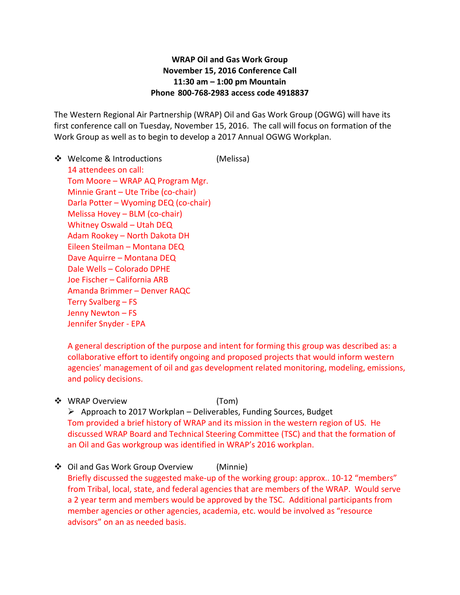## **WRAP Oil and Gas Work Group November 15, 2016 Conference Call 11:30 am – 1:00 pm Mountain Phone 800-768-2983 access code 4918837**

The Western Regional Air Partnership (WRAP) Oil and Gas Work Group (OGWG) will have its first conference call on Tuesday, November 15, 2016. The call will focus on formation of the Work Group as well as to begin to develop a 2017 Annual OGWG Workplan.

❖ Welcome & Introductions (Melissa) 14 attendees on call: Tom Moore – WRAP AQ Program Mgr. Minnie Grant – Ute Tribe (co-chair) Darla Potter – Wyoming DEQ (co-chair) Melissa Hovey – BLM (co-chair) Whitney Oswald – Utah DEQ Adam Rookey – North Dakota DH Eileen Steilman – Montana DEQ Dave Aquirre – Montana DEQ Dale Wells – Colorado DPHE Joe Fischer – California ARB Amanda Brimmer – Denver RAQC Terry Svalberg – FS Jenny Newton – FS Jennifer Snyder - EPA

A general description of the purpose and intent for forming this group was described as: a collaborative effort to identify ongoing and proposed projects that would inform western agencies' management of oil and gas development related monitoring, modeling, emissions, and policy decisions.

◆ WRAP Overview (Tom)

 $\triangleright$  Approach to 2017 Workplan – Deliverables, Funding Sources, Budget Tom provided a brief history of WRAP and its mission in the western region of US. He discussed WRAP Board and Technical Steering Committee (TSC) and that the formation of an Oil and Gas workgroup was identified in WRAP's 2016 workplan.

❖ Oil and Gas Work Group Overview (Minnie) Briefly discussed the suggested make-up of the working group: approx.. 10-12 "members" from Tribal, local, state, and federal agencies that are members of the WRAP. Would serve a 2 year term and members would be approved by the TSC. Additional participants from member agencies or other agencies, academia, etc. would be involved as "resource advisors" on an as needed basis.